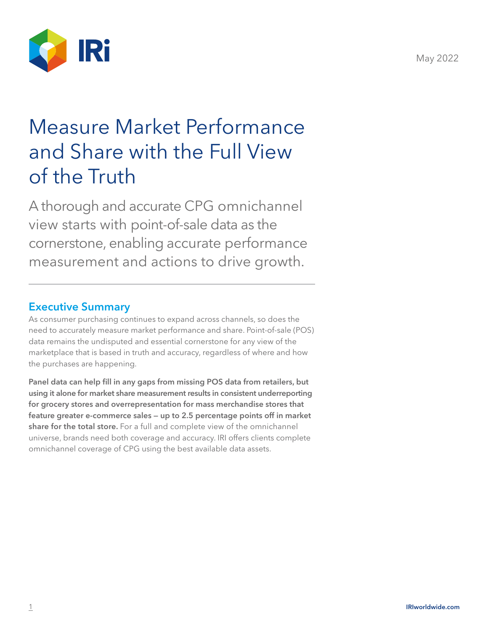

# Measure Market Performance and Share with the Full View of the Truth

A thorough and accurate CPG omnichannel view starts with point-of-sale data as the cornerstone, enabling accurate performance measurement and actions to drive growth.

#### Executive Summary

As consumer purchasing continues to expand across channels, so does the need to accurately measure market performance and share. Point-of-sale (POS) data remains the undisputed and essential cornerstone for any view of the marketplace that is based in truth and accuracy, regardless of where and how the purchases are happening.

Panel data can help fill in any gaps from missing POS data from retailers, but using it alone for market share measurement results in consistent underreporting for grocery stores and overrepresentation for mass merchandise stores that feature greater e-commerce sales — up to 2.5 percentage points off in market share for the total store. For a full and complete view of the omnichannel universe, brands need both coverage and accuracy. IRI offers clients complete omnichannel coverage of CPG using the best available data assets.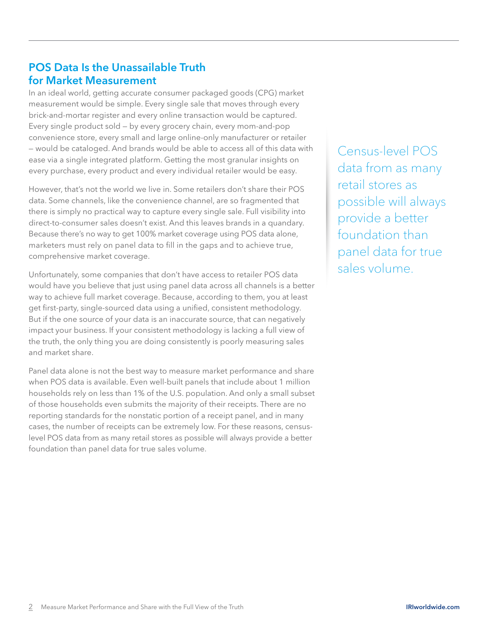## POS Data Is the Unassailable Truth for Market Measurement

In an ideal world, getting accurate consumer packaged goods (CPG) market measurement would be simple. Every single sale that moves through every brick-and-mortar register and every online transaction would be captured. Every single product sold — by every grocery chain, every mom-and-pop convenience store, every small and large online-only manufacturer or retailer — would be cataloged. And brands would be able to access all of this data with ease via a single integrated platform. Getting the most granular insights on every purchase, every product and every individual retailer would be easy.

However, that's not the world we live in. Some retailers don't share their POS data. Some channels, like the convenience channel, are so fragmented that there is simply no practical way to capture every single sale. Full visibility into direct-to-consumer sales doesn't exist. And this leaves brands in a quandary. Because there's no way to get 100% market coverage using POS data alone, marketers must rely on panel data to fill in the gaps and to achieve true, comprehensive market coverage.

Unfortunately, some companies that don't have access to retailer POS data would have you believe that just using panel data across all channels is a better way to achieve full market coverage. Because, according to them, you at least get first-party, single-sourced data using a unified, consistent methodology. But if the one source of your data is an inaccurate source, that can negatively impact your business. If your consistent methodology is lacking a full view of the truth, the only thing you are doing consistently is poorly measuring sales and market share.

Panel data alone is not the best way to measure market performance and share when POS data is available. Even well-built panels that include about 1 million households rely on less than 1% of the U.S. population. And only a small subset of those households even submits the majority of their receipts. There are no reporting standards for the nonstatic portion of a receipt panel, and in many cases, the number of receipts can be extremely low. For these reasons, censuslevel POS data from as many retail stores as possible will always provide a better foundation than panel data for true sales volume.

Census-level POS data from as many retail stores as possible will always provide a better foundation than panel data for true sales volume.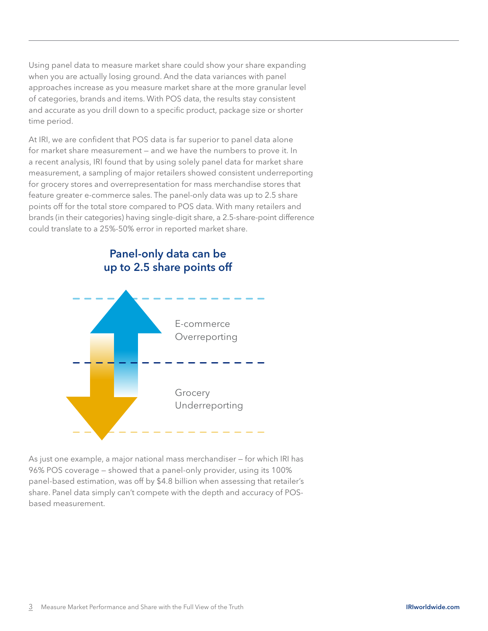Using panel data to measure market share could show your share expanding when you are actually losing ground. And the data variances with panel approaches increase as you measure market share at the more granular level of categories, brands and items. With POS data, the results stay consistent and accurate as you drill down to a specific product, package size or shorter time period.

At IRI, we are confident that POS data is far superior to panel data alone for market share measurement — and we have the numbers to prove it. In a recent analysis, IRI found that by using solely panel data for market share measurement, a sampling of major retailers showed consistent underreporting for grocery stores and overrepresentation for mass merchandise stores that feature greater e-commerce sales. The panel-only data was up to 2.5 share points off for the total store compared to POS data. With many retailers and brands (in their categories) having single-digit share, a 2.5-share-point difference could translate to a 25%-50% error in reported market share.



As just one example, a major national mass merchandiser — for which IRI has 96% POS coverage — showed that a panel-only provider, using its 100% panel-based estimation, was off by \$4.8 billion when assessing that retailer's share. Panel data simply can't compete with the depth and accuracy of POSbased measurement.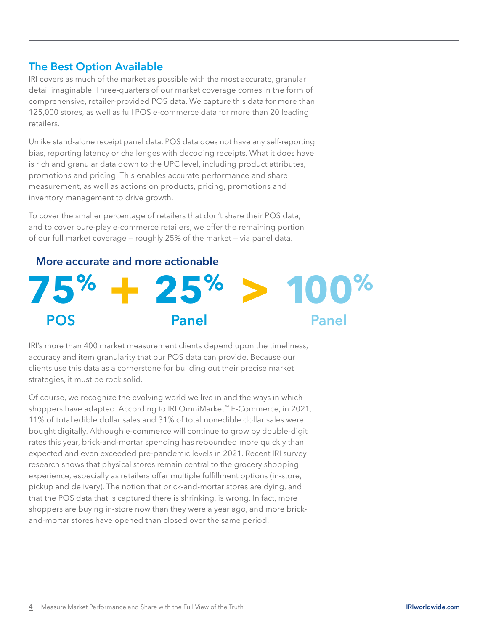### The Best Option Available

IRI covers as much of the market as possible with the most accurate, granular detail imaginable. Three-quarters of our market coverage comes in the form of comprehensive, retailer-provided POS data. We capture this data for more than 125,000 stores, as well as full POS e-commerce data for more than 20 leading retailers.

Unlike stand-alone receipt panel data, POS data does not have any self-reporting bias, reporting latency or challenges with decoding receipts. What it does have is rich and granular data down to the UPC level, including product attributes, promotions and pricing. This enables accurate performance and share measurement, as well as actions on products, pricing, promotions and inventory management to drive growth.

To cover the smaller percentage of retailers that don't share their POS data, and to cover pure-play e-commerce retailers, we offer the remaining portion of our full market coverage — roughly 25% of the market — via panel data.

# More accurate and more actionable



IRI's more than 400 market measurement clients depend upon the timeliness, accuracy and item granularity that our POS data can provide. Because our clients use this data as a cornerstone for building out their precise market strategies, it must be rock solid.

Of course, we recognize the evolving world we live in and the ways in which shoppers have adapted. According to IRI OmniMarket™ E-Commerce, in 2021, 11% of total edible dollar sales and 31% of total nonedible dollar sales were bought digitally. Although e-commerce will continue to grow by double-digit rates this year, brick-and-mortar spending has rebounded more quickly than expected and even exceeded pre-pandemic levels in 2021. Recent IRI survey research shows that physical stores remain central to the grocery shopping experience, especially as retailers offer multiple fulfillment options (in-store, pickup and delivery). The notion that brick-and-mortar stores are dying, and that the POS data that is captured there is shrinking, is wrong. In fact, more shoppers are buying in-store now than they were a year ago, and more brickand-mortar stores have opened than closed over the same period.